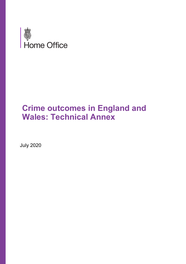

# **Crime outcomes in England and Wales: Technical Annex**

July 2020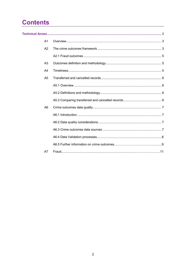## **Contents**

| A <sub>1</sub> |  |
|----------------|--|
| A <sub>2</sub> |  |
|                |  |
| A <sub>3</sub> |  |
| A <sub>4</sub> |  |
| A <sub>5</sub> |  |
|                |  |
|                |  |
|                |  |
| A <sub>6</sub> |  |
|                |  |
|                |  |
|                |  |
|                |  |
|                |  |
| A7             |  |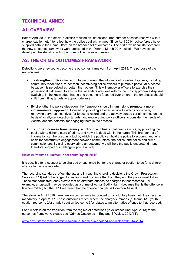## **TECHNICAL ANNEX**

### **A1. OVERVIEW**

Before April 2013, the official statistics focused on "detections" (the number of cases resolved with a charge, caution, etc.) to reflect how the police deal with crimes. Since April 2014, police forces have supplied data to the Home Office on the broader set of outcomes. The first provisional statistics from the new outcomes framework were published in the Year to March 2014 bulletin. We have since developed the statistics with input from police forces and users.

## **A2. THE CRIME OUTCOMES FRAMEWORK**

Detections were revised to become the outcomes framework from April 2013. The purpose of the revision was:

- To **strengthen police discretion** by recognising the full range of possible disposals, including community resolutions, rather than incentivising police officers to pursue a particular outcome because it is perceived as 'better' than others. This will empower officers to exercise their professional judgement to ensure that offenders are dealt with by the most appropriate disposal available, in the knowledge that no one outcome is favoured over others – the emphasis should shift from hitting targets to appropriateness.
- By strengthening police discretion, the framework should in turn help to **promote a more victim-oriented approach**, focused on providing a better service to victims of crime by removing perverse incentives for forces to record and pro-actively pursue certain crimes on the basis of locally-set detection targets, and encouraging police officers to consider the needs of victims, and the potential for engaging them in the process.
- To **further increase transparency** in policing, and trust in national statistics, by providing the public with a richer picture of crime, and how it is dealt with in their area. This broader set of information can be used as a tool by which the public can hold the police to account, and as a basis for constructive engagement between communities, the police, and police and crime commissioners. By giving every crime an outcome, we will help the public understand – and therefore support or challenge – police activity.

#### **New outcomes introduced from April 2016**

It is possible for a suspect to be charged or cautioned but for the charge or caution to be for a different offence to the one recorded.

The recording standards reflect the law and in reaching charging decisions the Crown Prosecution Service (CPS) set out a range of standards and guidance that both they and the police must follow. These standards frequently dictate that an alternate offence be charged to that recorded. For example, an assault may be recorded as a crime of Actual Bodily Harm (because that is the offence in law committed) but the CPS will direct that the offence charged is Common Assault.

Therefore, in April 2016 three new outcomes were introduced on a voluntary basis until they became mandatory in April 2017. These outcomes reflect where the charge/summons (outcome 1A), youth caution (outcome 2A) or adult caution (outcome 3A) relates to an alternative offence to that recorded.

For full details on the transition from the regime of detections (in existence until April 2013) to the outcomes framework, please see "Crimes Outcomes in England & Wales, 2013/14":

[www.gov.uk/government/statistics/crime-outcomes-in-england-and-wales-2013-to-2014](http://www.gov.uk/government/statistics/crime-outcomes-in-england-and-wales-2013-to-2014)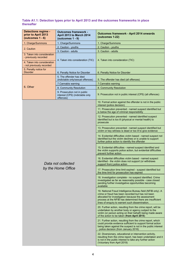#### **Table A1.1: Detection types prior to April 2013 and the outcomes frameworks in place thereafter**

| <b>Detections regime -</b><br>prior to April 2013<br>(outcomes $1 - 6$ )                                         | <b>Outcomes framework -</b><br>April 2013 to March 2014<br>(outcomes $1 - 9$ ) | <b>Outcomes framework - April 2014 onwards</b><br>(outcomes 1-22)                                                                                                                                                                                                                      |
|------------------------------------------------------------------------------------------------------------------|--------------------------------------------------------------------------------|----------------------------------------------------------------------------------------------------------------------------------------------------------------------------------------------------------------------------------------------------------------------------------------|
| 1. Charge/Summons                                                                                                | 1. Charge/Summons                                                              | 1. Charge/Summons                                                                                                                                                                                                                                                                      |
| 2. Caution                                                                                                       | 2. Caution - youths                                                            | 2. Caution - youths                                                                                                                                                                                                                                                                    |
|                                                                                                                  | 3. Caution - adults                                                            | 3. Caution - adults                                                                                                                                                                                                                                                                    |
| 3. Taken into consideration<br>- previously recorded<br>4. Taken into consideration<br>- not previously recorded | 4. Taken into consideration (TIC)                                              | 4. Taken into consideration (TIC)                                                                                                                                                                                                                                                      |
| 5. Penalty notice for<br><b>Disorder</b>                                                                         | 6. Penalty Notice for Disorder                                                 | 6. Penalty Notice for Disorder                                                                                                                                                                                                                                                         |
|                                                                                                                  | 5. The offender has died<br>(indictable only/sexual offences)                  | 5. The offender has died (all offences)                                                                                                                                                                                                                                                |
|                                                                                                                  | 7. Cannabis warning                                                            | 7. Cannabis warning                                                                                                                                                                                                                                                                    |
| 6. Other                                                                                                         | 8. Community Resolution                                                        | 8. Community Resolution                                                                                                                                                                                                                                                                |
|                                                                                                                  | 9. Prosecution not in public<br>interest (CPS) (indictable only<br>offences)   | 9. Prosecution not in public interest (CPS) (all offences)                                                                                                                                                                                                                             |
| Data not collected<br>by the Home Office                                                                         |                                                                                | 10. Formal action against the offender is not in the public<br>interest (police decision)                                                                                                                                                                                              |
|                                                                                                                  |                                                                                | 11. Prosecution prevented - named suspect identified but<br>is below the age of criminal responsibility                                                                                                                                                                                |
|                                                                                                                  |                                                                                | 12. Prosecution prevented - named identified suspect<br>identified but is too ill (physical or mental health) to<br>prosecute                                                                                                                                                          |
|                                                                                                                  |                                                                                | 13. Prosecution prevented - named suspect identified but<br>victim or key witness is dead or too ill to give evidence                                                                                                                                                                  |
|                                                                                                                  |                                                                                | 14. Evidential difficulties victim based - named suspect not<br>identified but the victim declines or is unable to support<br>further police action to identify the offender                                                                                                           |
|                                                                                                                  |                                                                                | 15. Evidential difficulties - named suspect identified and<br>the victim supports police action, but evidential difficulties<br>prevent further action                                                                                                                                 |
|                                                                                                                  |                                                                                | 16. Evidential difficulties victim based - named suspect<br>identified - the victim does not support (or withdraws<br>support from) police action                                                                                                                                      |
|                                                                                                                  |                                                                                | 17. Prosecution time limit expired - suspect identified but<br>the time limit for prosecution has expired                                                                                                                                                                              |
|                                                                                                                  |                                                                                | 18. Investigation complete - no suspect identified. Crime<br>investigated as far as reasonably possible - case closed<br>pending further investigative opportunities becoming<br>available                                                                                             |
|                                                                                                                  |                                                                                | 19. National Fraud Intelligence Bureau field (NFIB only). A<br>crime or fraud has been recorded but has not been<br>allocated for investigation because the assessment<br>process at the NFIB has determined there are insufficient<br>lines of enguiry to warrant such dissemination. |
|                                                                                                                  |                                                                                | 20. Further action, resulting from the crime report, will be<br>undertaken by another body or agency subject to the<br>victim (or person acting on their behalf) being made aware<br>of the action to be taken (from April 2015)                                                       |
|                                                                                                                  |                                                                                | 21. Further action, resulting from the crime report, which<br>could provide evidence sufficient to support formal action<br>being taken against the suspect is not in the public interest<br>- police decision (from January 2016)                                                     |
|                                                                                                                  |                                                                                | 22. Diversionary, educational or intervention activity,<br>resulting from the crime report, has been undertaken and it<br>is not in the public interest to take any further action<br>(Voluntary from April 2019)                                                                      |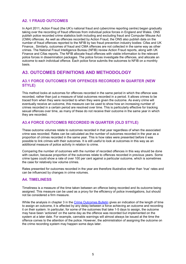#### **A2. 1 FRAUD OUTCOMES**

In April 2011, Action Fraud (the UK's national fraud and cybercrime reporting centre) began gradually taking over the recording of fraud offences from individual police forces in England and Wales. ONS publish police recorded crime statistics both including and excluding fraud and Computer Misuse Act (CMA) offences. As well as offences recorded by Action Fraud, the ONS also publish data on the number of fraud offences reported to the NFIB by two fraud prevention industry bodies: Cifas and UK Finance.. Similarly, outcomes of fraud and CMA offences are not collected in the same way as other crimes. The National Fraud Intelligence Bureau (NFIB) review Action Fraud reports, along with UK Finance and Cifas reports. The NFIB allocate fraud offences with viable information to the relevant police forces in dissemination packages. The police forces investigate the offences, and allocate an outcome to each individual offence. Each police force submits the outcomes to NFIB on a monthly basis.

## **A3. OUTCOMES DEFINITIONS AND METHODOLOGY**

#### **A3.1 FORCE OUTCOMES FOR OFFENCES RECORDED IN QUARTER (NEW STYLE)**

This method looks at outcomes for offences recorded in the same period in which the offence was recorded, rather than just a measure of total outcomes recorded in a period. It allows crimes to be traced from when they were recorded to when they were given the outcome. As every crime will eventually receive an outcome, this measure can be used to show how an increasing number of crimes recorded in a certain period are resolved over time. This is particularly effective for tracking sexual offences over time, as many of these do not receive their outcome in the same year in which they are recorded.

#### **A3.4 FORCE OUTCOMES RECORDED IN QUARTER (OLD STYLE)**

These outcome volumes relate to outcomes recorded in that year regardless of when the associated crime was recorded. Rates can be calculated as the number of outcomes recorded in the year as a proportion of crimes recorded in the same year. This is how rates were presented before it was possible to link crimes with their outcomes. It is still useful to look at outcomes in this way as an additional measure of police activity in relation to crime.

Comparing the number of outcomes with the number of recorded offences in this way should be done with caution, because proportion of the outcomes relate to offences recorded in previous years. Some crime types could show a rate of over 100 per cent against a particular outcome, which is sometimes the case for relatively low volume crimes.

Rates presented for outcomes recorded in the year are therefore illustrative rather than 'true' rates and can be influenced by changes in crime volumes.

#### **A4. TIMELINESS**

Timeliness is a measure of the time taken between an offence being recorded and its outcome being assigned. This measure can be used as a proxy for the efficiency of police investigations, but should not be considered a firm measure.

While the analysis in chapter 3 in the [Crime Outcomes Bulletin](https://www.gov.uk/government/statistics/crime-outcomes-in-england-and-wales-2018-to-2019) gives an indication of the length of time to assign an outcome, it is affected by any delay between a force achieving an outcome and recording it on their system. In particular, for some of the outcomes that take 1-5 days to assign, the outcome may have been 'actioned' on the same day as the offence was recorded but implemented on the system at a later date. For example, cannabis warnings will almost always be issued at the time the offence comes to the attention of the police. However, the administration of assigning the outcome on the crime recording system may happen some days later.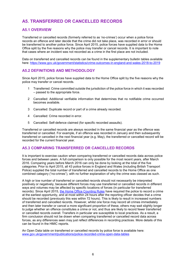## **A5. TRANSFERRED OR CANCELLED RECORDS**

#### **A5.1 OVERVIEW**

Transferred or cancelled records (formerly referred to as 'no-crimes') occur when a police force records an offence and later decide that the crime did not take place, was recorded in error or should be transferred to another police force. Since April 2015, police forces have supplied data to the Home Office split by the five reasons why the police may transfer or cancel records. It is important to note that cases where an incident was not recorded as a crime in the first place are not included.

Data on transferred and cancelled records can be found in the supplementary bulletin tables available here:<https://www.gov.uk/government/statistics/crime-outcomes-in-england-and-wales-2018-to-2019>

#### **A5.2 DEFINITIONS AND METHODOLOGY**

Since April 2015, police forces have supplied data to the Home Office split by the five reasons why the police may transfer or cancel records.

- 1 Transferred: Crime committed outside the jurisdiction of the police force in which it was recorded – passed to the appropriate force.
- 2 Cancelled: Additional verifiable information that determines that no notifiable crime occurred becomes available.
- 3 Cancelled: Duplicate record or part of a crime already recorded.
- 4 Cancelled: Crime recorded in error.
- 5 Cancelled: Self-defence claimed (for specific recorded assaults).

Transferred or cancelled records are always recorded in the same financial year as the offence was transferred or cancelled. For example, if an offence was recorded in January and then subsequently transferred or cancelled in the next financial year (e.g. May), the transferred or cancelled record will be recorded for the current financial year.

#### **A5.3 COMPARING TRANSFERRED OR CANCELLED RECORDS**

It is important to exercise caution when comparing transferred or cancelled records data across police forces and between years. A full comparison is only possible for the most recent years, after March 2016. Comparing years before March 2016 can only be done by looking at the total of the five categories. Prior to April 2015, all 43 police forces in England and Wales (including British Transport Police) supplied the total number of transferred and cancelled records to the Home Office as one combined category ("no-crimes"), with no further explanation of why the crime was classed as such.

A high or low number of transferred or cancelled records should not necessarily be interpreted positively or negatively, because different forces may use transferred or cancelled records in different ways and volumes may be affected by specific locations of forces (in particular for transferred records). Since April 2015, [the Home Office Counting Rules](https://www.gov.uk/government/publications/counting-rules-for-recorded-crime) have required the police to record a crime at the earliest opportunity, and at most within 24 hours after the reporting officer decides that a crime should be recorded (previously this was within 72 hours). This is likely to result in increased numbers of transferred and cancelled records. However, whilst one force may record all crimes immediately and then later transfer or cancel a more significant proportion of these, others may wait slightly longer to judge whether an offence constitutes a crime or not, and thus are likely to record fewer transferred or cancelled records overall. Transfers in particular are susceptible to local practices. As a result, a firm conclusion should not be drawn when comparing transferred or cancelled record data across forces, as any differences seen may just reflect differences in recording practices. More details of this can be found in the HMIC reports.

An Open Data table on transferred or cancelled records by police force is available here: [www.gov.uk/government/publications/police-recorded-crime-open-data-tables](http://www.gov.uk/government/publications/police-recorded-crime-open-data-tables)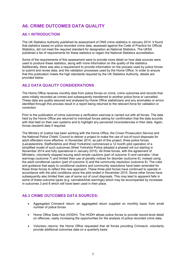## **A6. CRIME OUTCOMES DATA QUALITY**

#### **A6.1 INTRODUCTION**

The UK Statistics Authority published its assessment of ONS crime statistics in January 2014. It found that statistics based on police recorded crime data, assessed against the Code of Practice for Official Statistics, did not meet the required standard for designation as National Statistics. The UKSA published a list of requirements for these statistics to regain the National Statistics accreditation.

Some of the requirements of this assessment were to provide more detail on how data sources were used to produce these statistics, along with more information on the quality of the statistics. Additionally, there was also a requirement to provide information on the process used by police forces to submit and revise data, and the validation processes used by the Home Office. In order to ensure that this publication meets the high standards required by the UK Statistics Authority, details are provided below.

#### **A6.2 DATA QUALITY CONSIDERATIONS**

The Home Office receives monthly data from police forces on crime, crime outcomes and records that were initially recorded as crimes and subsequently transferred to another police force or cancelled. These data are quality assured and analysed by Home Office statisticians and any anomalies or errors identified through this process result in a report being returned to the relevant force for validation or correction.

Prior to the publication of crime outcomes a verification exercise is carried out with all forces. The data held by the Home Office are returned to individual forces asking for confirmation that the data accords with that held on their own systems and to highlight any perceived inconsistencies in their data. Again, forces resubmit data if required.

The Ministry of Justice has been working with the Home Office, the Crown Prosecution Service and the National Police Chiefs' Council to deliver a project to make the use of out-of-court disposals for adult offenders more effective. In November 2014, as part of this project, three police forces (Leicestershire, Staffordshire and West Yorkshire) commenced a 12 month pilot operation of a simplified model of such outcomes (West Yorkshire Police adopted a phased roll out starting in November 2014 and fully operational in January 2015). All three forces, with the agreement of Ministers, voluntarily stopped issuing adult simple cautions (part of outcome 3) and cannabis / khat warnings (outcome 7) and limited their use of penalty notices for disorder (outcome 6), instead using the adult conditional caution (part of outcome 3) and the community resolution (outcome 8). The rules and guidance that apply to conditional cautions and community resolutions have been amended for those three forces to reflect this new approach. These three pilot forces have continued to operate in accordance with the pilot conditions since the pilot ended in November 2015. Some other forces have subsequently also limited their use of some out of court disposals. This may lead to apparent falls in some of these outcome types (e.g. cannabis/khat warnings) which may be accompanied by increases in outcomes 3 and 8 which will have been used in their place.

#### **A6.3 CRIME OUTCOMES DATA SOURCES:**

- Aggregated Crimsec4 return: an aggregated return supplied on monthly basis from small number of police forces
- Home Office Data Hub (HODH): The HODH allows police forces to provide record-level detail on offences, vastly increasing the opportunities for the analysis of police recorded crime data.
- Voluntary returns: the Home Office requested that all forces providing Crimsec4, voluntarily provide additional outcomes data on a quarterly basis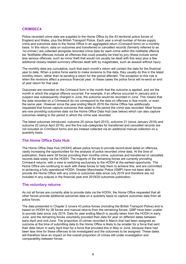#### **CRIMSEC4**

Police recorded crime data are supplied to the Home Office by the 43 territorial police forces of England and Wales, plus the British Transport Police. Each year a small number of forces supply crime and outcomes data to the Home Office in an aggregated return (Crimsec4 form) on a monthly basis. In this return, data on outcomes and transferred or cancelled records (formerly referred to as 'no-crimes') are collected alongside recorded crime data for each crime within the notifiable offence list. Notifiable offences include all offences that could possibly be tried by jury (these include some less serious offences, such as minor theft that would not usually be dealt with this way) plus a few additional closely-related summary offences dealt with by magistrates, such as assault without injury.

The monthly data are cumulative, such that each month's return will contain the data for the financial year to date. When a police force wants to make revisions to this data, they usually do this in the latest monthly return, rather than re-sending a return for the period affected. The exception to this rule is when the revisions affect a previous financial year. In these cases the police force will re-send an end of year return for that year.

Outcomes are recorded on the Crimsec4 form in the month that the outcome is applied, and not the month in which the original offence occurred. For example, if an offence occurred in January and a suspect was subsequently charged in June, the outcome would be recorded in June. This means that the data recorded on a Crimesec4 do not correspond to the data on offences in that month, or even the same year. However since the year ending March 2016 the Home Office has additionally requested that forces capture outcomes that relate to the period the crime was recorded. Most forces are now providing outcomes data via the Home Office Data Hub (see below) which can also capture outcomes relating to the period in which the crime was recorded.

The latest outcomes introduced, outcome 20 (since April 2015), outcome 21 (since January 2016) and outcome 22 (since April 2019), and the five sub-categories for transferred and cancelled records are not included on CrimSec4 forms and are instead collected via an additional manual collection on a quarterly basis.

#### **The Home Office Data Hub**

The Home Office Data Hub (HODH) allows police forces to provide record-level detail on offences, vastly increasing the opportunities for the analysis of police recorded crime data. At the time of publication, there were 39 forces providing their monthly crime, outcomes and transferred or cancelled records data solely via the HODH. The majority of the remaining forces are currently providing Crimsec4 returns, with a view to switching exclusively to the HODH at the earliest opportunity. The Home Office are continuing to work with these forces to help them to achieve this, and are committed to achieving a fully operational HODH. Greater Manchester Police (GMP) have not been able to provide the Home Office with any crime or outcomes data since July 2019 and therefore are not included in any outputs in the financial year end 2019/20 outcomes publication.

#### **The voluntary returns**

As not all forces are currently able to provide data via the HODH, the Home Office requested that all other forces provide additional outcomes data on a quarterly basis to capture outcomes data from all police forces.

The data presented in Chapter 2 covers 43 police forces (including the British Transport Police) and is based on HODH for 38 forces and manual returns from the remaining forces; GMP have been unable to provide data since July 2019. Data for year ending March is usually taken from the HODH in early June, and the remaining forces voluntarily provided their data for year on different dates between early-April and mid-June. The proportion of crimes recorded in March that had been assigned an outcome at the time of submitting data to the Home Office is likely to be smaller for a force that sent their data return in early April than for a force that provided this in May or June, because there had been less time for these offences to be investigated and the outcomes to be assigned. These dates will therefore have an impact on the overall proportion of crimes still under investigation and comparability between forces.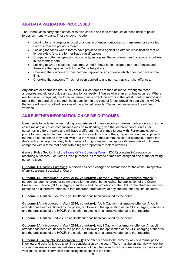#### **A6.4 DATA VALIDATION PROCESSES**

The Home Office carry out a series of routine checks and feed the results of these back to police forces on monthly basis. These checks include:

- Looking for any large or unusual changes in offences, outcomes or transferred or cancelled records from the previous month;
- Looking for cases where forces have provided data against an offence classification that no longer exists (e.g. the former fraud classifications);
- Comparing offence types and outcome types against the long-term trend, to spot any outliers in the monthly data;
- Looking at where cautions (outcomes 2 and 3) have been assigned to rape offences and these are then queried with Force Crime Registrars;
- Checking that outcome 17 has not been applied to any offence which does not have a time limit.
- Checking that outcome 7 has not been applied to any non-cannabis or khat offences.

Any outliers or anomalies are usually small. Police forces are then asked to investigate these anomalies and either provide an explanation or resubmit figures where an error has occurred. Where resubmission is required, the force will usually just correct the errors in the latest monthly submission, rather than re-send all of the months in question. In the case of forces providing data via the HODH, the force will send modified versions of the affected records. These then supersede the original versions.

#### **A6.5 FURTHER INFORMATION ON CRIME OUTCOMES**

Care needs to be taken when making comparisons of crime outcomes between police forces. In some cases making any such comparisons may be misleading, given that different police forces use outcomes in different ways and will have a different mix of crimes to deal with. For example, some police forces may implement more community resolutions than others, depending on their approach, the nature of the crimes they deal with and the views of their communities. For example, a force that deals with a disproportionately high number of drug offences may apply a different mix of outcomes compared with a force that deals with a higher proportion of violent offences.

General Rules Section H of the [Home Office Counting Rules](https://www.gov.uk/government/publications/counting-rules-for-recorded-crime) (HOCR) contains information on recording outcomes. For Home Office purposes, all recorded crimes are assigned one of the following outcome types:

**Outcome 1:** Charge / Summons: A person has been charged or summonsed for the crime (irrespective of any subsequent acquittal at Court).

**Outcome 1A [introduced in April 2016, voluntary]:** Charge / Summons - alternative offence: A person has been charged or summonsed for the crime, but following the application of the Crown Prosecution Service (CPS) charging standards and the provisions of the HOCR, the charge/summons relates to an alternative offence to that recorded (irrespective of any subsequent acquittal at court).

**Outcome 2:** Caution – youths: A youth offender has been cautioned by the police.

**Outcome 2A [introduced in April 2016, voluntary]:** Youth Caution – alternative offence: A youth offender has been cautioned by the police, but following the application of the CPS charging standards and the provisions of the HOCR, the caution relates to an alternative offence to that recorded.

**Outcome 3:** Caution – adults: An adult offender has been cautioned by the police.

**Outcome 3A [introduced in April 2016, voluntary]:** Adult Caution – alternative offence: An adult offender has been cautioned by the police, but following the application of the CPS charging standards and the provisions of the HOCR, the caution relates to an alternative offence to that recorded.

**Outcome 4:** Taken into Consideration (TIC): The offender admits the crime by way of a formal police interview and asks for it to be taken into consideration by the court. There must be an interview where the suspect has made a clear and reliable admission of the offence and which is corroborated with additional verifiable auditable information connecting the suspect to the crime.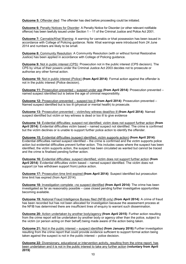**Outcome 5:** Offender died: The offender has died before proceeding could be initiated.

**Outcome 6:** Penalty Notices for Disorder: A Penalty Notice for Disorder (or other relevant notifiable offence) has been lawfully issued under Section 1 – 11 of the Criminal Justice and Police Act 2001.

**Outcome 7:** Cannabis/Khat Warning: A warning for cannabis or khat possession has been issued in accordance with College of Policing guidance. Note: Khat warnings were introduced from 24 June 2014 and numbers are likely to be small.

**Outcome 8:** Community Resolution: A Community Resolution (with or without formal Restorative Justice) has been applied in accordance with College of Policing guidance.

**Outcome 9:** Not in public interest (CPS): Prosecution not in the public interest (CPS decision). The CPS by virtue of their powers under the Criminal Justice Act 2003 decides not to prosecute or authorise any other formal action.

**Outcome 10:** Not in public interest (Police) **(from April 2014)**: Formal action against the offender is not in the public interest (Police decision).

**Outcome 11:** Prosecution prevented – suspect under age **(from April 2014)**: Prosecution prevented – named suspect identified but is below the age of criminal responsibility.

**Outcome 12:** Prosecution prevented – suspect too ill **(from April 2014)**: Prosecution prevented – Named suspect identified but is too ill (physical or mental health) to prosecute.

**Outcome 13:** Prosecution prevented – victim/key witness dead/too ill **(from April 2014)**: Named suspect identified but victim or key witness is dead or too ill to give evidence

**Outcome 14:** Evidential difficulties: suspect not identified; victim does not support further action **(from April 2014)**: Evidential difficulties victim based – named suspect not identified. The crime is confirmed but the victim declines or is unable to support further police action to identify the offender.

**Outcome 15:** Evidential difficulties (suspect identified; victim supports action) **(from April 2014)**: Evidential difficulties named suspect identified – the crime is confirmed and the victim supports police action but evidential difficulties prevent further action. This includes cases where the suspect has been identified, the victim supports action, the suspect has been circulated as wanted but cannot be traced and the crime is finalised pending further action.

**Outcome 16:** Evidential difficulties: suspect identified; victim does not support further action **(from April 2014)**: Evidential difficulties victim based – named suspect identified. The victim does not support (or has withdrawn support from) police action.

**Outcome 17:** Prosecution time limit expired **(from April 2014)**: Suspect identified but prosecution time limit has expired (from April 2014).

**Outcome 18:** Investigation complete –no suspect identified **(from April 2014)**: The crime has been investigated as far as reasonably possible – case closed pending further investigative opportunities becoming available.

**Outcome 19:** National Fraud Intelligence Bureau filed (NFIB only) **(from April 2014)**: A crime of fraud has been recorded but has not been allocated for investigation because the assessment process at the NFIB has determined there are insufficient lines of enquiry to warrant such dissemination.

**Outcome 20:** Action undertaken by another body/agency **(from April 2015)**: Further action resulting from the crime report will be undertaken by another body or agency other than the police, subject to the victim (or person acting on their behalf) being made aware of the action being taken.

**Outcome 21:** Not in the public interest – suspect identified **(from January 2016)** Further investigation resulting from the crime report that could provide evidence sufficient to support formal action being taken against the suspect is not in the public interest – police decision.

**Outcome 22:** Diversionary, educational or intervention activity, resulting from the crime report, has been undertaken and it is not in the public interest to take any further action **(voluntary from April 2019)**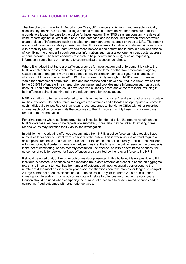#### **A7 FRAUD AND COMPUTER MISUSE**

The flow chart in Figure A7.1. Reports from Cifas, UK Finance and Action Fraud are automatically assessed by the NFIB's systems, using a scoring matrix to determine whether there are sufficient grounds to allocate the case to the police for investigation. The NFIB's system constantly reviews all crime reports against all other data held in the database and looks for links between offences which share a piece of information, such as a telephone number, email address or website URL. The reports are scored based on a viability criteria, and the NFIB's system automatically produces crime networks with a viability ranking. The team reviews these networks and determines if there is a realistic chance of identifying the offender through personal information, such as a telephone number, postal address or bank account. The team conducts research to help identify suspect(s), such as requesting information from a bank or making a telecommunications subscriber check.

Where it is judged that there are sufficient grounds for investigation and enforcement is viable, the NFIB allocates these cases to the most appropriate police force or other law enforcement agency. Cases closed at one point may be re-opened if new information comes to light. For example, an offence could have occurred in 2018/19 but not scored highly enough on NFIB's matrix to make it viable for enforcement at the time. Then another offence could have occurred in 2019/20 which links to the 2018/19 offence with a shared offender name, and provides more information such as a bank account. Then both offences could have received a viability score above the threshold, resulting in both offences being disseminated to the relevant force for investigation.

NFIB allocations to forces are referred to as "dissemination packages", and each package can contain multiple offences. The police force investigates the offences and allocates an appropriate outcome to each individual offence. Rather than return these outcomes to the Home Office with other recorded crimes, each police force submits the outcomes to the NFIB on a monthly basis, who in-turn pass reports to the Home Office.

For crime reports where sufficient grounds for investigation do not exist, the reports remain on the NFIB's database. As new crime reports are submitted, more data may be linked to existing crime reports which may increase their viability for investigation.

In addition to investigating offences disseminated from NFIB, a police force can also receive fraudrelated 'calls for service' direct from members of the public. This is when victims of fraud require an active police response, and dial either 999 or 101 to contact the police directly. Police forces will deal with fraud directly if certain criteria are met, such as if at the time of the call for service, the offender is in the act of committing, or has recently committed, the offence. As with disseminated offences, the outcomes of calls for service for fraud offences are submitted by the relevant force to the NFIB.

It should be noted that, unlike other outcomes data presented in this bulletin, it is not possible to link individual outcomes to offences as the recorded fraud data streams at present is based on aggregate totals. It is important to note that the number of outcomes will not necessarily correspond to the number of disseminations in a given year since investigations can take months, or longer, to complete. A large number of offences disseminated to the police in the year to March 2020 are still under investigation. In addition, some outcomes data will relate to offences recorded in previous years. Caution should be used when comparing the number of outcomes to disseminated offences and in comparing fraud outcomes with other offence types.